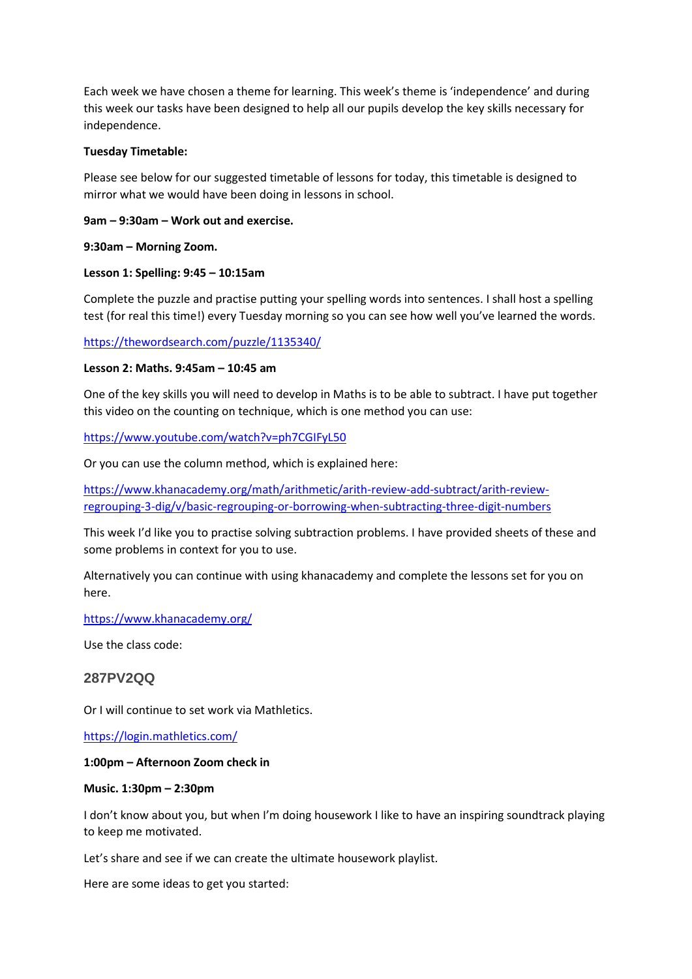Each week we have chosen a theme for learning. This week's theme is 'independence' and during this week our tasks have been designed to help all our pupils develop the key skills necessary for independence.

### **Tuesday Timetable:**

Please see below for our suggested timetable of lessons for today, this timetable is designed to mirror what we would have been doing in lessons in school.

# **9am – 9:30am – Work out and exercise.**

# **9:30am – Morning Zoom.**

# **Lesson 1: Spelling: 9:45 – 10:15am**

Complete the puzzle and practise putting your spelling words into sentences. I shall host a spelling test (for real this time!) every Tuesday morning so you can see how well you've learned the words.

<https://thewordsearch.com/puzzle/1135340/>

### **Lesson 2: Maths. 9:45am – 10:45 am**

One of the key skills you will need to develop in Maths is to be able to subtract. I have put together this video on the counting on technique, which is one method you can use:

<https://www.youtube.com/watch?v=ph7CGIFyL50>

Or you can use the column method, which is explained here:

[https://www.khanacademy.org/math/arithmetic/arith-review-add-subtract/arith-review](https://www.khanacademy.org/math/arithmetic/arith-review-add-subtract/arith-review-regrouping-3-dig/v/basic-regrouping-or-borrowing-when-subtracting-three-digit-numbers)[regrouping-3-dig/v/basic-regrouping-or-borrowing-when-subtracting-three-digit-numbers](https://www.khanacademy.org/math/arithmetic/arith-review-add-subtract/arith-review-regrouping-3-dig/v/basic-regrouping-or-borrowing-when-subtracting-three-digit-numbers)

This week I'd like you to practise solving subtraction problems. I have provided sheets of these and some problems in context for you to use.

Alternatively you can continue with using khanacademy and complete the lessons set for you on here.

<https://www.khanacademy.org/>

Use the class code:

# **287PV2QQ**

Or I will continue to set work via Mathletics.

<https://login.mathletics.com/>

### **1:00pm – Afternoon Zoom check in**

### **Music. 1:30pm – 2:30pm**

I don't know about you, but when I'm doing housework I like to have an inspiring soundtrack playing to keep me motivated.

Let's share and see if we can create the ultimate housework playlist.

Here are some ideas to get you started: